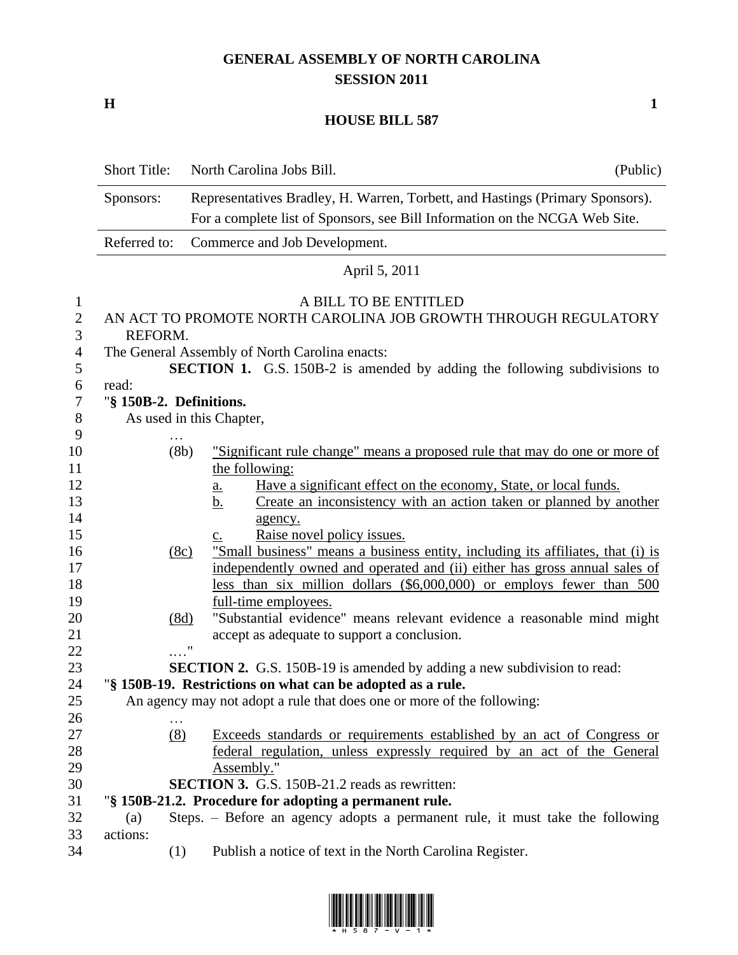## **GENERAL ASSEMBLY OF NORTH CAROLINA SESSION 2011**

**H 1**

## **HOUSE BILL 587**

|                     | <b>Short Title:</b>                                                         | North Carolina Jobs Bill.                                                                                                          | (Public) |
|---------------------|-----------------------------------------------------------------------------|------------------------------------------------------------------------------------------------------------------------------------|----------|
|                     | Sponsors:                                                                   | Representatives Bradley, H. Warren, Torbett, and Hastings (Primary Sponsors).                                                      |          |
|                     | For a complete list of Sponsors, see Bill Information on the NCGA Web Site. |                                                                                                                                    |          |
|                     | Referred to:                                                                | Commerce and Job Development.                                                                                                      |          |
|                     |                                                                             | April 5, 2011                                                                                                                      |          |
| $\mathbf{1}$        |                                                                             | A BILL TO BE ENTITLED                                                                                                              |          |
| $\sqrt{2}$<br>3     | REFORM.                                                                     | AN ACT TO PROMOTE NORTH CAROLINA JOB GROWTH THROUGH REGULATORY                                                                     |          |
| $\overline{4}$<br>5 |                                                                             | The General Assembly of North Carolina enacts:<br><b>SECTION 1.</b> G.S. 150B-2 is amended by adding the following subdivisions to |          |
| 6                   | read:                                                                       |                                                                                                                                    |          |
| $\boldsymbol{7}$    |                                                                             | "§ 150B-2. Definitions.                                                                                                            |          |
| $8\,$               |                                                                             | As used in this Chapter,                                                                                                           |          |
| 9<br>10             |                                                                             | (8b)<br>"Significant rule change" means a proposed rule that may do one or more of                                                 |          |
| 11                  |                                                                             | the following:                                                                                                                     |          |
| 12                  |                                                                             | Have a significant effect on the economy, State, or local funds.<br>a.                                                             |          |
| 13                  |                                                                             | Create an inconsistency with an action taken or planned by another<br>b.                                                           |          |
| 14                  |                                                                             | agency.                                                                                                                            |          |
| 15                  |                                                                             | Raise novel policy issues.<br>c.                                                                                                   |          |
| 16                  |                                                                             | "Small business" means a business entity, including its affiliates, that (i) is<br>(8c)                                            |          |
| 17                  |                                                                             | independently owned and operated and (ii) either has gross annual sales of                                                         |          |
| 18                  |                                                                             | less than six million dollars (\$6,000,000) or employs fewer than 500                                                              |          |
| 19                  |                                                                             | full-time employees.                                                                                                               |          |
| 20                  |                                                                             | "Substantial evidence" means relevant evidence a reasonable mind might<br>(8d)                                                     |          |
| 21                  |                                                                             | accept as adequate to support a conclusion.                                                                                        |          |
| 22                  |                                                                             | $\ldots$ ."                                                                                                                        |          |
| 23                  |                                                                             | <b>SECTION 2.</b> G.S. 150B-19 is amended by adding a new subdivision to read:                                                     |          |
| 24                  |                                                                             | "§ 150B-19. Restrictions on what can be adopted as a rule.                                                                         |          |
| 25                  |                                                                             | An agency may not adopt a rule that does one or more of the following:                                                             |          |
| 26                  |                                                                             |                                                                                                                                    |          |
| 27                  |                                                                             | (8)<br>Exceeds standards or requirements established by an act of Congress or                                                      |          |
| 28                  |                                                                             | federal regulation, unless expressly required by an act of the General                                                             |          |
| 29                  |                                                                             | Assembly."                                                                                                                         |          |
| 30                  |                                                                             | SECTION 3. G.S. 150B-21.2 reads as rewritten:                                                                                      |          |
| 31<br>32            |                                                                             | "§ 150B-21.2. Procedure for adopting a permanent rule.                                                                             |          |
| 33                  | (a)<br>actions:                                                             | Steps. - Before an agency adopts a permanent rule, it must take the following                                                      |          |
| 34                  |                                                                             | Publish a notice of text in the North Carolina Register.<br>(1)                                                                    |          |
|                     |                                                                             |                                                                                                                                    |          |

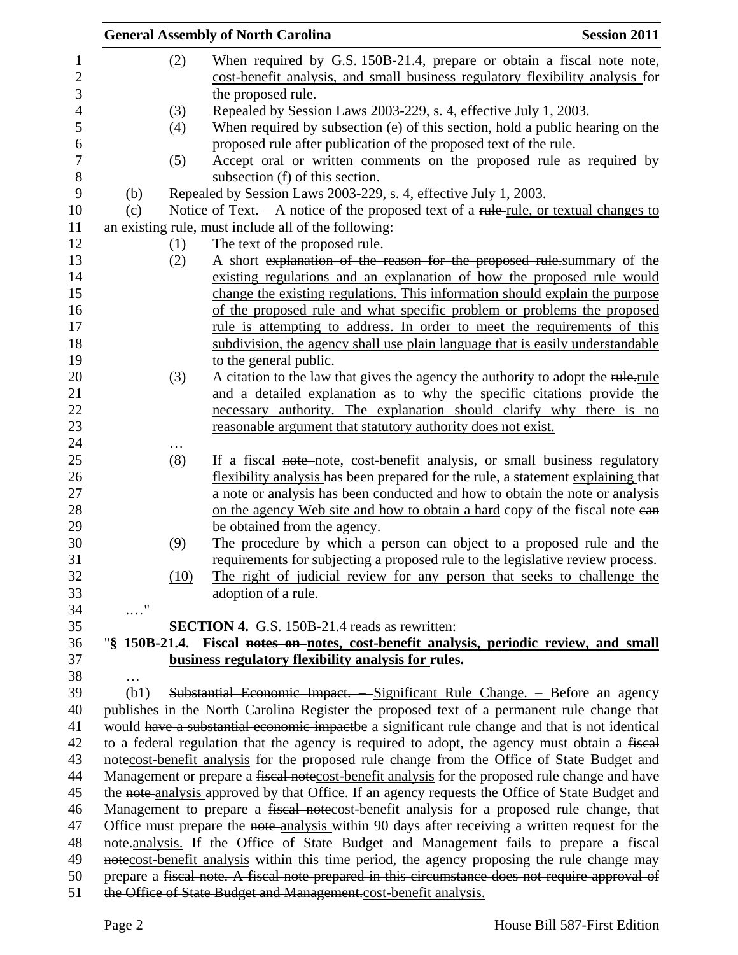|                             | <b>General Assembly of North Carolina</b>                                                                                                                                | <b>Session 2011</b> |
|-----------------------------|--------------------------------------------------------------------------------------------------------------------------------------------------------------------------|---------------------|
|                             | When required by G.S. 150B-21.4, prepare or obtain a fiscal note-note,<br>(2)                                                                                            |                     |
|                             | cost-benefit analysis, and small business regulatory flexibility analysis for                                                                                            |                     |
|                             | the proposed rule.                                                                                                                                                       |                     |
|                             | Repealed by Session Laws 2003-229, s. 4, effective July 1, 2003.<br>(3)                                                                                                  |                     |
|                             | When required by subsection (e) of this section, hold a public hearing on the<br>(4)                                                                                     |                     |
|                             | proposed rule after publication of the proposed text of the rule.                                                                                                        |                     |
|                             | Accept oral or written comments on the proposed rule as required by<br>(5)                                                                                               |                     |
|                             | subsection (f) of this section.                                                                                                                                          |                     |
| (b)                         | Repealed by Session Laws 2003-229, s. 4, effective July 1, 2003.                                                                                                         |                     |
| (c)                         | Notice of Text. $- A$ notice of the proposed text of a rule-rule, or textual changes to                                                                                  |                     |
|                             | an existing rule, must include all of the following:                                                                                                                     |                     |
|                             | The text of the proposed rule.<br>(1)                                                                                                                                    |                     |
|                             | A short explanation of the reason for the proposed rule summary of the<br>(2)                                                                                            |                     |
|                             | existing regulations and an explanation of how the proposed rule would                                                                                                   |                     |
|                             | change the existing regulations. This information should explain the purpose                                                                                             |                     |
|                             | of the proposed rule and what specific problem or problems the proposed                                                                                                  |                     |
|                             | rule is attempting to address. In order to meet the requirements of this                                                                                                 |                     |
|                             | subdivision, the agency shall use plain language that is easily understandable                                                                                           |                     |
|                             | to the general public.                                                                                                                                                   |                     |
|                             | A citation to the law that gives the agency the authority to adopt the rule-rule<br>(3)                                                                                  |                     |
|                             | and a detailed explanation as to why the specific citations provide the                                                                                                  |                     |
|                             | necessary authority. The explanation should clarify why there is no                                                                                                      |                     |
|                             | reasonable argument that statutory authority does not exist.                                                                                                             |                     |
|                             | .                                                                                                                                                                        |                     |
|                             | If a fiscal note-note, cost-benefit analysis, or small business regulatory<br>(8)                                                                                        |                     |
|                             | flexibility analysis has been prepared for the rule, a statement explaining that                                                                                         |                     |
|                             | a note or analysis has been conducted and how to obtain the note or analysis                                                                                             |                     |
|                             | on the agency Web site and how to obtain a hard copy of the fiscal note ean                                                                                              |                     |
|                             | be obtained from the agency.                                                                                                                                             |                     |
|                             | The procedure by which a person can object to a proposed rule and the<br>(9)                                                                                             |                     |
|                             | requirements for subjecting a proposed rule to the legislative review process.                                                                                           |                     |
|                             | The right of judicial review for any person that seeks to challenge the<br>(10)                                                                                          |                     |
|                             | adoption of a rule.                                                                                                                                                      |                     |
| $\ldots \overset{0}{\cdot}$ |                                                                                                                                                                          |                     |
|                             | SECTION 4. G.S. 150B-21.4 reads as rewritten:                                                                                                                            |                     |
|                             | "\\$ 150B-21.4. Fiscal notes on notes, cost-benefit analysis, periodic review, and small                                                                                 |                     |
|                             | business regulatory flexibility analysis for rules.                                                                                                                      |                     |
| (b1)                        |                                                                                                                                                                          |                     |
|                             | Substantial Economic Impact. - Significant Rule Change. - Before an agency<br>publishes in the North Carolina Register the proposed text of a permanent rule change that |                     |
|                             | would have a substantial economic impactbe a significant rule change and that is not identical                                                                           |                     |
|                             | to a federal regulation that the agency is required to adopt, the agency must obtain a fiscal                                                                            |                     |
|                             | notecost-benefit analysis for the proposed rule change from the Office of State Budget and                                                                               |                     |
|                             | Management or prepare a fiscal notecost-benefit analysis for the proposed rule change and have                                                                           |                     |
|                             | the note analysis approved by that Office. If an agency requests the Office of State Budget and                                                                          |                     |
|                             | Management to prepare a fiscal notecost-benefit analysis for a proposed rule change, that                                                                                |                     |
|                             | Office must prepare the note-analysis within 90 days after receiving a written request for the                                                                           |                     |
|                             | note-analysis. If the Office of State Budget and Management fails to prepare a fiscal                                                                                    |                     |
|                             | notecost-benefit analysis within this time period, the agency proposing the rule change may                                                                              |                     |
|                             | prepare a fiscal note. A fiscal note prepared in this circumstance does not require approval of                                                                          |                     |
|                             | the Office of State Budget and Management.cost-benefit analysis.                                                                                                         |                     |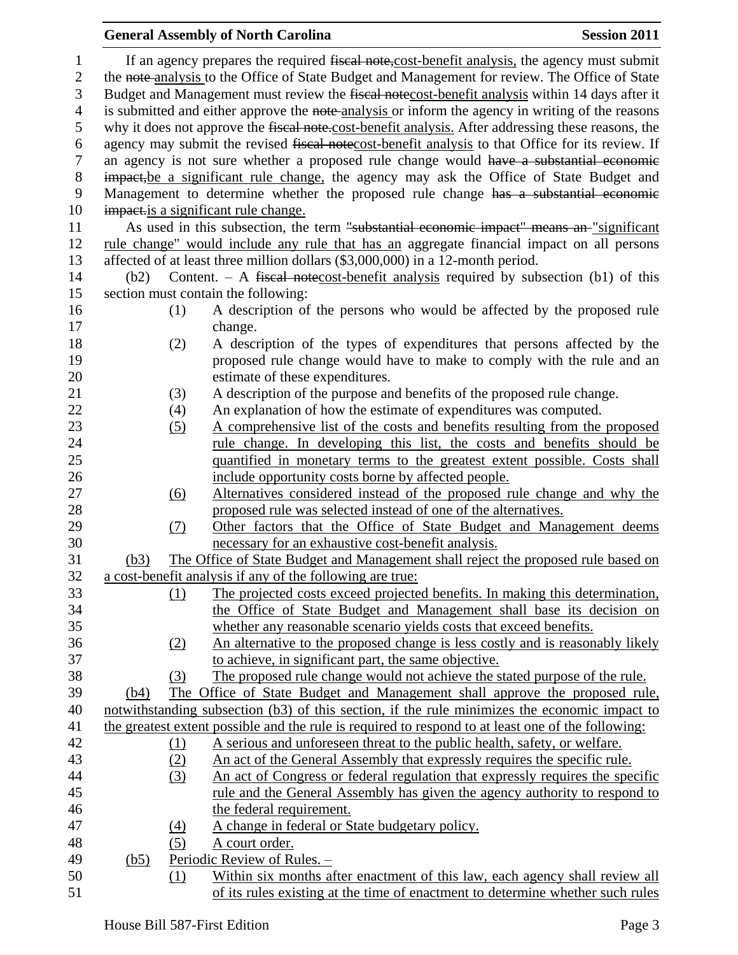## **General Assembly of North Carolina Session 2011** 1 If an agency prepares the required fiscal note, cost-benefit analysis, the agency must submit 2 the note-analysis to the Office of State Budget and Management for review. The Office of State Budget and Management must review the fiscal notecost-benefit analysis within 14 days after it 4 is submitted and either approve the note-analysis or inform the agency in writing of the reasons why it does not approve the fiscal note.cost-benefit analysis. After addressing these reasons, the agency may submit the revised fiscal notecost-benefit analysis to that Office for its review. If an agency is not sure whether a proposed rule change would have a substantial economic impact,be a significant rule change, the agency may ask the Office of State Budget and Management to determine whether the proposed rule change has a substantial economic 10 impact is a significant rule change. 11 As used in this subsection, the term "substantial economic impact" means an "significant rule change" would include any rule that has an aggregate financial impact on all persons affected of at least three million dollars (\$3,000,000) in a 12-month period. (b2) Content. – A fiscal notecost-benefit analysis required by subsection (b1) of this section must contain the following: (1) A description of the persons who would be affected by the proposed rule change. (2) A description of the types of expenditures that persons affected by the **proposed rule change would have to make to comply with the rule and an**  estimate of these expenditures. (3) A description of the purpose and benefits of the proposed rule change. (4) An explanation of how the estimate of expenditures was computed. (5) A comprehensive list of the costs and benefits resulting from the proposed 24 rule change. In developing this list, the costs and benefits should be quantified in monetary terms to the greatest extent possible. Costs shall include opportunity costs borne by affected people. (6) Alternatives considered instead of the proposed rule change and why the proposed rule was selected instead of one of the alternatives. (7) Other factors that the Office of State Budget and Management deems necessary for an exhaustive cost-benefit analysis. (b3) The Office of State Budget and Management shall reject the proposed rule based on a cost-benefit analysis if any of the following are true: (1) The projected costs exceed projected benefits. In making this determination, the Office of State Budget and Management shall base its decision on whether any reasonable scenario yields costs that exceed benefits. (2) An alternative to the proposed change is less costly and is reasonably likely to achieve, in significant part, the same objective. (3) The proposed rule change would not achieve the stated purpose of the rule. (b4) The Office of State Budget and Management shall approve the proposed rule, notwithstanding subsection (b3) of this section, if the rule minimizes the economic impact to the greatest extent possible and the rule is required to respond to at least one of the following: (1) A serious and unforeseen threat to the public health, safety, or welfare. (2) An act of the General Assembly that expressly requires the specific rule. (3) An act of Congress or federal regulation that expressly requires the specific rule and the General Assembly has given the agency authority to respond to the federal requirement. (4) A change in federal or State budgetary policy. (5) A court order. (b5) Periodic Review of Rules. – (1) Within six months after enactment of this law, each agency shall review all of its rules existing at the time of enactment to determine whether such rules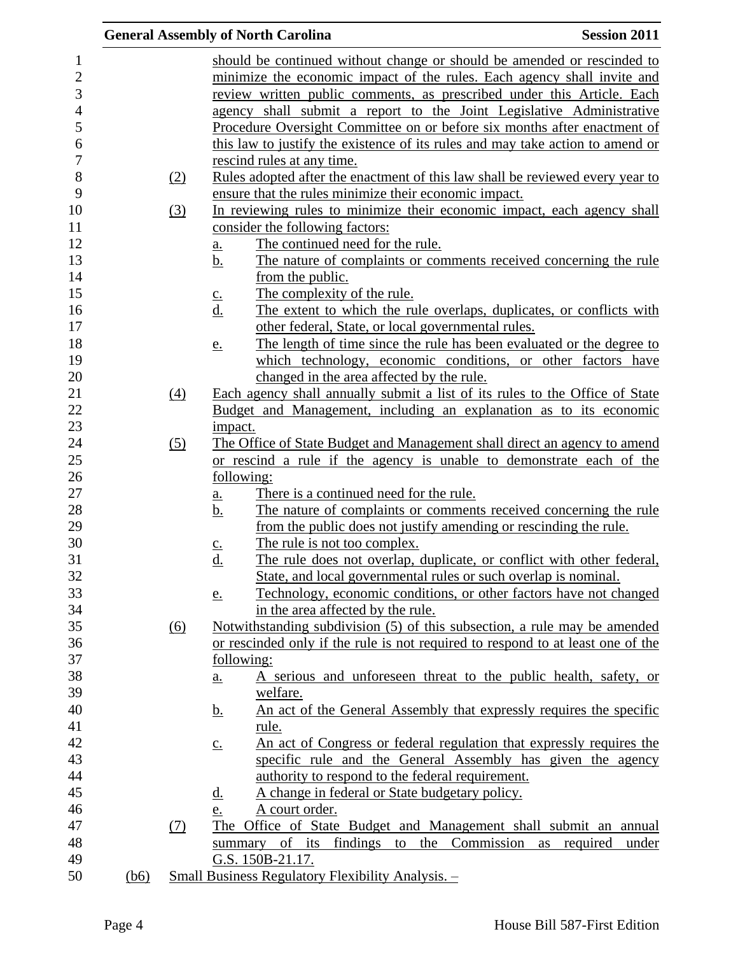|      |                   | <b>General Assembly of North Carolina</b>                                          | <b>Session 2011</b> |
|------|-------------------|------------------------------------------------------------------------------------|---------------------|
|      |                   | should be continued without change or should be amended or rescinded to            |                     |
|      |                   | minimize the economic impact of the rules. Each agency shall invite and            |                     |
|      |                   | review written public comments, as prescribed under this Article. Each             |                     |
|      |                   | agency shall submit a report to the Joint Legislative Administrative               |                     |
|      |                   | Procedure Oversight Committee on or before six months after enactment of           |                     |
|      |                   |                                                                                    |                     |
|      |                   | this law to justify the existence of its rules and may take action to amend or     |                     |
|      |                   | rescind rules at any time.                                                         |                     |
|      | <u>(2)</u>        | Rules adopted after the enactment of this law shall be reviewed every year to      |                     |
|      |                   | ensure that the rules minimize their economic impact.                              |                     |
|      | (3)               | In reviewing rules to minimize their economic impact, each agency shall            |                     |
|      |                   | consider the following factors:                                                    |                     |
|      |                   | The continued need for the rule.<br><u>a.</u>                                      |                     |
|      |                   | The nature of complaints or comments received concerning the rule<br>b.            |                     |
|      |                   | from the public.                                                                   |                     |
|      |                   | The complexity of the rule.<br>$\underline{c}$ .                                   |                     |
|      |                   | The extent to which the rule overlaps, duplicates, or conflicts with<br><u>d.</u>  |                     |
|      |                   | other federal, State, or local governmental rules.                                 |                     |
|      |                   | The length of time since the rule has been evaluated or the degree to<br><u>e.</u> |                     |
|      |                   | which technology, economic conditions, or other factors have                       |                     |
|      |                   | changed in the area affected by the rule.                                          |                     |
|      | $\underline{(4)}$ | Each agency shall annually submit a list of its rules to the Office of State       |                     |
|      |                   | Budget and Management, including an explanation as to its economic                 |                     |
|      |                   | impact.                                                                            |                     |
|      | (5)               | The Office of State Budget and Management shall direct an agency to amend          |                     |
|      |                   | or rescind a rule if the agency is unable to demonstrate each of the               |                     |
|      |                   | following:                                                                         |                     |
|      |                   | There is a continued need for the rule.<br>$\underline{\mathbf{a}}$ .              |                     |
|      |                   | <u>b.</u><br>The nature of complaints or comments received concerning the rule     |                     |
|      |                   | from the public does not justify amending or rescinding the rule.                  |                     |
|      |                   | The rule is not too complex.<br>$C_{\bullet}$                                      |                     |
|      |                   | d.<br>The rule does not overlap, duplicate, or conflict with other federal,        |                     |
|      |                   | State, and local governmental rules or such overlap is nominal.                    |                     |
|      |                   | Technology, economic conditions, or other factors have not changed<br><u>e.</u>    |                     |
|      |                   | in the area affected by the rule.                                                  |                     |
|      | (6)               | Notwithstanding subdivision (5) of this subsection, a rule may be amended          |                     |
|      |                   | or rescinded only if the rule is not required to respond to at least one of the    |                     |
|      |                   | following:                                                                         |                     |
|      |                   | A serious and unforeseen threat to the public health, safety, or<br><u>a.</u>      |                     |
|      |                   | welfare.                                                                           |                     |
|      |                   | An act of the General Assembly that expressly requires the specific<br><u>b.</u>   |                     |
|      |                   | <u>rule.</u>                                                                       |                     |
|      |                   | An act of Congress or federal regulation that expressly requires the               |                     |
|      |                   | $\underline{c}$ .<br>specific rule and the General Assembly has given the agency   |                     |
|      |                   |                                                                                    |                     |
|      |                   | authority to respond to the federal requirement.                                   |                     |
|      |                   | A change in federal or State budgetary policy.<br><u>d.</u>                        |                     |
|      |                   | A court order.<br>e.                                                               |                     |
|      | (7)               | The Office of State Budget and Management shall submit an annual                   |                     |
|      |                   | summary of its findings to<br>the Commission as required                           | under               |
|      |                   | G.S. 150B-21.17.                                                                   |                     |
| (b6) |                   | <u> Small Business Regulatory Flexibility Analysis. -</u>                          |                     |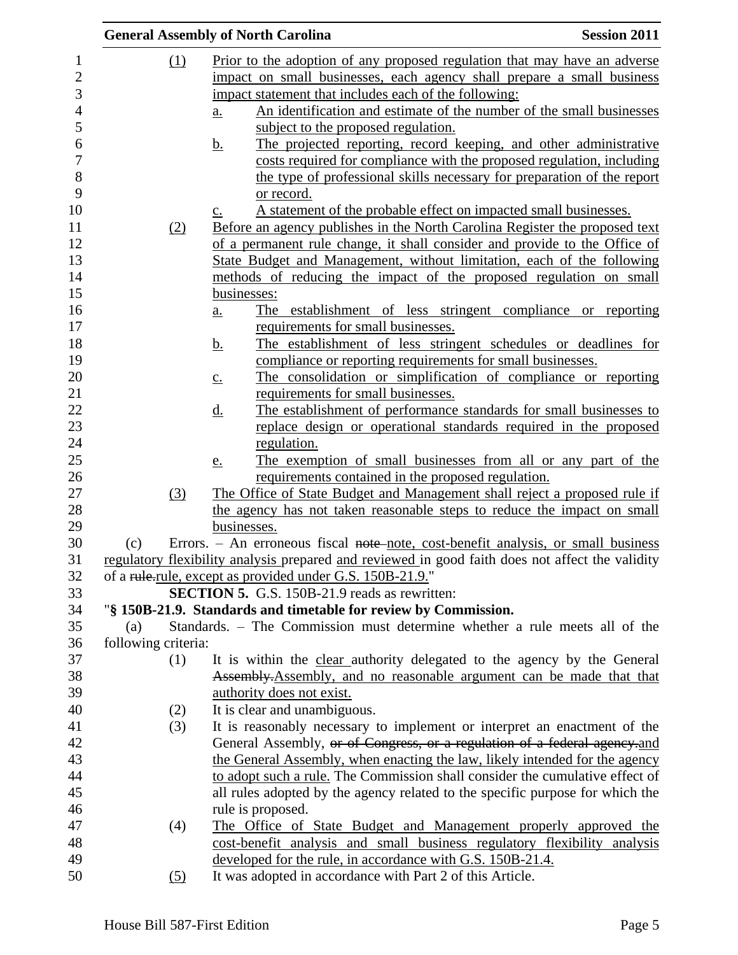|     |                     | <b>General Assembly of North Carolina</b>                                                                                                            | <b>Session 2011</b> |
|-----|---------------------|------------------------------------------------------------------------------------------------------------------------------------------------------|---------------------|
|     | (1)                 | Prior to the adoption of any proposed regulation that may have an adverse                                                                            |                     |
|     |                     | impact on small businesses, each agency shall prepare a small business                                                                               |                     |
|     |                     | impact statement that includes each of the following:                                                                                                |                     |
|     |                     | An identification and estimate of the number of the small businesses<br>$\underline{a}$ .                                                            |                     |
|     |                     | subject to the proposed regulation.                                                                                                                  |                     |
|     |                     | The projected reporting, record keeping, and other administrative<br><u>b.</u>                                                                       |                     |
|     |                     | costs required for compliance with the proposed regulation, including                                                                                |                     |
|     |                     | the type of professional skills necessary for preparation of the report                                                                              |                     |
|     |                     | or record.                                                                                                                                           |                     |
|     |                     | A statement of the probable effect on impacted small businesses.<br>$\underline{c}$ .                                                                |                     |
|     | (2)                 | Before an agency publishes in the North Carolina Register the proposed text                                                                          |                     |
|     |                     | of a permanent rule change, it shall consider and provide to the Office of                                                                           |                     |
|     |                     | State Budget and Management, without limitation, each of the following                                                                               |                     |
|     |                     | methods of reducing the impact of the proposed regulation on small                                                                                   |                     |
|     |                     | businesses:                                                                                                                                          |                     |
|     |                     | The establishment of less stringent compliance or reporting<br>$\underline{\mathbf{a}}$ .                                                            |                     |
|     |                     | requirements for small businesses.                                                                                                                   |                     |
|     |                     | The establishment of less stringent schedules or deadlines for<br><u>b.</u>                                                                          |                     |
|     |                     | compliance or reporting requirements for small businesses.                                                                                           |                     |
|     |                     | The consolidation or simplification of compliance or reporting<br>$\underline{c}$ .                                                                  |                     |
|     |                     | requirements for small businesses.                                                                                                                   |                     |
|     |                     | The establishment of performance standards for small businesses to<br><u>d.</u>                                                                      |                     |
|     |                     | replace design or operational standards required in the proposed                                                                                     |                     |
|     |                     | regulation.                                                                                                                                          |                     |
|     |                     | The exemption of small businesses from all or any part of the<br>e.                                                                                  |                     |
|     |                     | requirements contained in the proposed regulation.                                                                                                   |                     |
|     | (3)                 | The Office of State Budget and Management shall reject a proposed rule if<br>the agency has not taken reasonable steps to reduce the impact on small |                     |
|     |                     | businesses.                                                                                                                                          |                     |
| (c) |                     | Errors. – An erroneous fiscal note-note, cost-benefit analysis, or small business                                                                    |                     |
|     |                     | regulatory flexibility analysis prepared and reviewed in good faith does not affect the validity                                                     |                     |
|     |                     | of a rule-rule, except as provided under G.S. 150B-21.9."                                                                                            |                     |
|     |                     | <b>SECTION 5.</b> G.S. 150B-21.9 reads as rewritten:                                                                                                 |                     |
|     |                     | "§ 150B-21.9. Standards and timetable for review by Commission.                                                                                      |                     |
| (a) |                     | Standards. – The Commission must determine whether a rule meets all of the                                                                           |                     |
|     | following criteria: |                                                                                                                                                      |                     |
|     | (1)                 | It is within the clear authority delegated to the agency by the General                                                                              |                     |
|     |                     | Assembly. Assembly, and no reasonable argument can be made that that                                                                                 |                     |
|     |                     | authority does not exist.                                                                                                                            |                     |
|     | (2)                 | It is clear and unambiguous.                                                                                                                         |                     |
|     | (3)                 | It is reasonably necessary to implement or interpret an enactment of the                                                                             |                     |
|     |                     | General Assembly, or of Congress, or a regulation of a federal agency and                                                                            |                     |
|     |                     | the General Assembly, when enacting the law, likely intended for the agency                                                                          |                     |
|     |                     | to adopt such a rule. The Commission shall consider the cumulative effect of                                                                         |                     |
|     |                     | all rules adopted by the agency related to the specific purpose for which the                                                                        |                     |
|     |                     | rule is proposed.                                                                                                                                    |                     |
|     | (4)                 | The Office of State Budget and Management properly approved the                                                                                      |                     |
|     |                     | cost-benefit analysis and small business regulatory flexibility analysis                                                                             |                     |
|     |                     | developed for the rule, in accordance with G.S. 150B-21.4.                                                                                           |                     |
|     | (5)                 | It was adopted in accordance with Part 2 of this Article.                                                                                            |                     |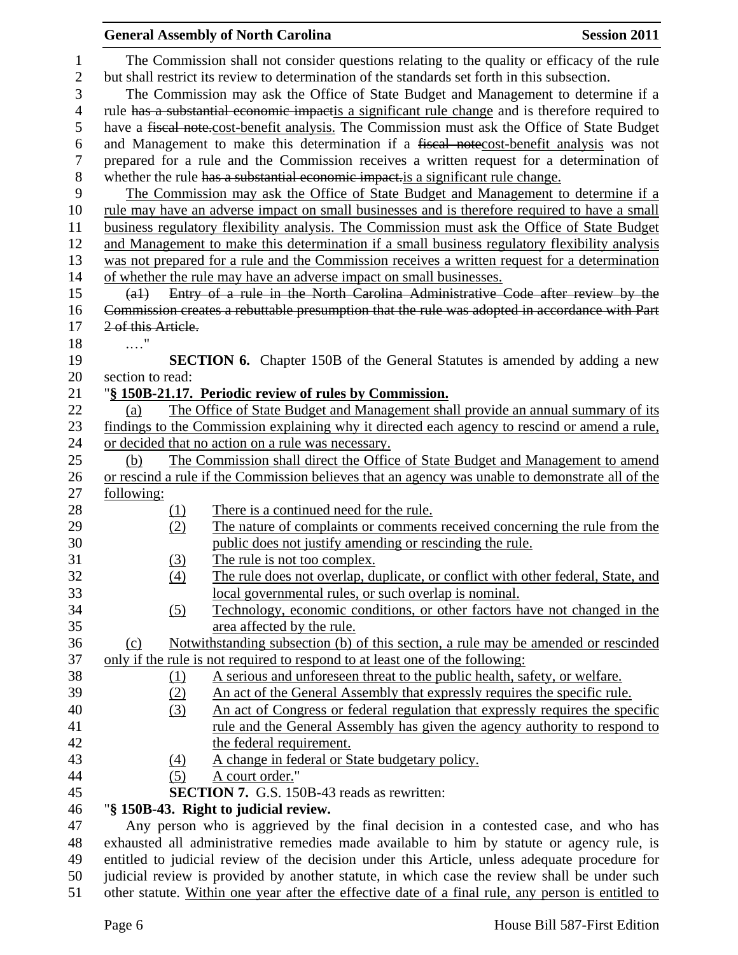|                                   |                    | <b>General Assembly of North Carolina</b>                                                                                                                                                                                                                                          | <b>Session 2011</b> |
|-----------------------------------|--------------------|------------------------------------------------------------------------------------------------------------------------------------------------------------------------------------------------------------------------------------------------------------------------------------|---------------------|
| $\mathbf{1}$<br>$\mathbf{2}$<br>3 |                    | The Commission shall not consider questions relating to the quality or efficacy of the rule<br>but shall restrict its review to determination of the standards set forth in this subsection.<br>The Commission may ask the Office of State Budget and Management to determine if a |                     |
| $\overline{4}$                    |                    | rule has a substantial economic impactis a significant rule change and is therefore required to                                                                                                                                                                                    |                     |
| 5                                 |                    | have a fiscal note-cost-benefit analysis. The Commission must ask the Office of State Budget                                                                                                                                                                                       |                     |
| 6                                 |                    | and Management to make this determination if a fiscal notecost-benefit analysis was not                                                                                                                                                                                            |                     |
| $\boldsymbol{7}$                  |                    | prepared for a rule and the Commission receives a written request for a determination of                                                                                                                                                                                           |                     |
| $8\,$<br>9                        |                    | whether the rule has a substantial economic impact is a significant rule change.<br>The Commission may ask the Office of State Budget and Management to determine if a                                                                                                             |                     |
| 10                                |                    | rule may have an adverse impact on small businesses and is therefore required to have a small                                                                                                                                                                                      |                     |
| 11                                |                    | business regulatory flexibility analysis. The Commission must ask the Office of State Budget                                                                                                                                                                                       |                     |
| 12                                |                    | and Management to make this determination if a small business regulatory flexibility analysis                                                                                                                                                                                      |                     |
| 13                                |                    | was not prepared for a rule and the Commission receives a written request for a determination                                                                                                                                                                                      |                     |
| 14                                |                    | of whether the rule may have an adverse impact on small businesses.                                                                                                                                                                                                                |                     |
| 15                                | $(a+)$             | Entry of a rule in the North Carolina Administrative Code after review by the                                                                                                                                                                                                      |                     |
| 16                                |                    | Commission creates a rebuttable presumption that the rule was adopted in accordance with Part                                                                                                                                                                                      |                     |
| 17                                | 2 of this Article. |                                                                                                                                                                                                                                                                                    |                     |
| 18                                | $\ldots$ "         |                                                                                                                                                                                                                                                                                    |                     |
| 19                                |                    | <b>SECTION 6.</b> Chapter 150B of the General Statutes is amended by adding a new                                                                                                                                                                                                  |                     |
| 20                                | section to read:   |                                                                                                                                                                                                                                                                                    |                     |
| 21                                | (a)                | "§ 150B-21.17. Periodic review of rules by Commission.                                                                                                                                                                                                                             |                     |
| 22<br>23                          |                    | The Office of State Budget and Management shall provide an annual summary of its                                                                                                                                                                                                   |                     |
| 24                                |                    | findings to the Commission explaining why it directed each agency to rescind or amend a rule,<br>or decided that no action on a rule was necessary.                                                                                                                                |                     |
| 25                                | (b)                | The Commission shall direct the Office of State Budget and Management to amend                                                                                                                                                                                                     |                     |
| 26                                |                    | or rescind a rule if the Commission believes that an agency was unable to demonstrate all of the                                                                                                                                                                                   |                     |
| 27                                | following:         |                                                                                                                                                                                                                                                                                    |                     |
| 28                                |                    | There is a continued need for the rule.                                                                                                                                                                                                                                            |                     |
| 29                                | $\frac{(1)}{(2)}$  | The nature of complaints or comments received concerning the rule from the                                                                                                                                                                                                         |                     |
| 30                                |                    | public does not justify amending or rescinding the rule.                                                                                                                                                                                                                           |                     |
| 31                                | (3)                | The rule is not too complex.                                                                                                                                                                                                                                                       |                     |
| 32                                | (4)                | The rule does not overlap, duplicate, or conflict with other federal, State, and                                                                                                                                                                                                   |                     |
| 33                                |                    | local governmental rules, or such overlap is nominal.                                                                                                                                                                                                                              |                     |
| 34                                | (5)                | Technology, economic conditions, or other factors have not changed in the                                                                                                                                                                                                          |                     |
| 35                                |                    | area affected by the rule.                                                                                                                                                                                                                                                         |                     |
| 36                                | (c)                | Notwithstanding subsection (b) of this section, a rule may be amended or rescinded                                                                                                                                                                                                 |                     |
| 37                                |                    | only if the rule is not required to respond to at least one of the following:                                                                                                                                                                                                      |                     |
| 38                                | <u>(1)</u>         | A serious and unforeseen threat to the public health, safety, or welfare.                                                                                                                                                                                                          |                     |
| 39                                | (2)                | An act of the General Assembly that expressly requires the specific rule.                                                                                                                                                                                                          |                     |
| 40                                | (3)                | An act of Congress or federal regulation that expressly requires the specific                                                                                                                                                                                                      |                     |
| 41                                |                    | <u>rule and the General Assembly has given the agency authority to respond to</u>                                                                                                                                                                                                  |                     |
| 42                                |                    | the federal requirement.                                                                                                                                                                                                                                                           |                     |
| 43                                | $\left(4\right)$   | A change in federal or State budgetary policy.                                                                                                                                                                                                                                     |                     |
| 44                                | (5)                | A court order."                                                                                                                                                                                                                                                                    |                     |
| 45                                |                    | <b>SECTION 7.</b> G.S. 150B-43 reads as rewritten:                                                                                                                                                                                                                                 |                     |
| 46                                |                    | "§ 150B-43. Right to judicial review.                                                                                                                                                                                                                                              |                     |
| 47                                |                    | Any person who is aggrieved by the final decision in a contested case, and who has                                                                                                                                                                                                 |                     |
| 48                                |                    | exhausted all administrative remedies made available to him by statute or agency rule, is                                                                                                                                                                                          |                     |
| 49                                |                    | entitled to judicial review of the decision under this Article, unless adequate procedure for                                                                                                                                                                                      |                     |
| 50                                |                    | judicial review is provided by another statute, in which case the review shall be under such                                                                                                                                                                                       |                     |

other statute. Within one year after the effective date of a final rule, any person is entitled to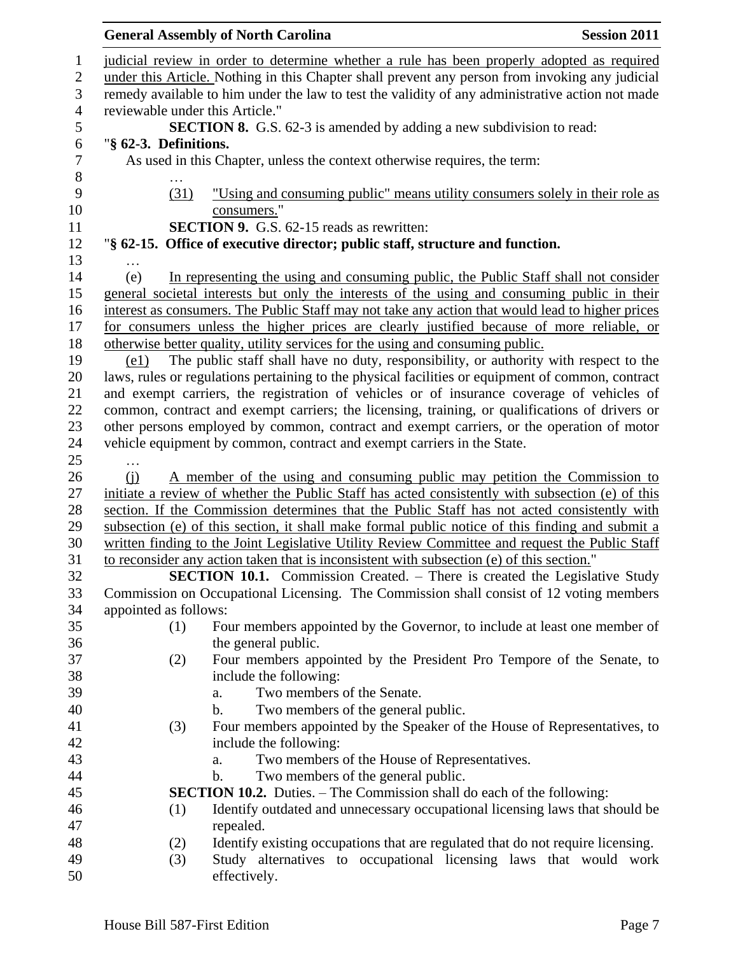|                  |                                 | <b>General Assembly of North Carolina</b>                                                         | <b>Session 2011</b> |
|------------------|---------------------------------|---------------------------------------------------------------------------------------------------|---------------------|
| 1                |                                 | judicial review in order to determine whether a rule has been properly adopted as required        |                     |
| $\sqrt{2}$       |                                 | under this Article. Nothing in this Chapter shall prevent any person from invoking any judicial   |                     |
| 3                |                                 | remedy available to him under the law to test the validity of any administrative action not made  |                     |
| $\overline{4}$   | reviewable under this Article." |                                                                                                   |                     |
| $\mathfrak{S}$   |                                 | <b>SECTION 8.</b> G.S. 62-3 is amended by adding a new subdivision to read:                       |                     |
| 6                | "§ 62-3. Definitions.           |                                                                                                   |                     |
| $\boldsymbol{7}$ |                                 | As used in this Chapter, unless the context otherwise requires, the term:                         |                     |
| $8\,$            |                                 |                                                                                                   |                     |
| 9                | (31)                            | "Using and consuming public" means utility consumers solely in their role as                      |                     |
| 10               |                                 | consumers."                                                                                       |                     |
| 11               |                                 | <b>SECTION 9.</b> G.S. 62-15 reads as rewritten:                                                  |                     |
| 12               |                                 | "§ 62-15. Office of executive director; public staff, structure and function.                     |                     |
| 13               |                                 |                                                                                                   |                     |
| 14               | (e)                             | In representing the using and consuming public, the Public Staff shall not consider               |                     |
| 15               |                                 | general societal interests but only the interests of the using and consuming public in their      |                     |
| 16               |                                 | interest as consumers. The Public Staff may not take any action that would lead to higher prices  |                     |
| 17               |                                 | for consumers unless the higher prices are clearly justified because of more reliable, or         |                     |
| 18               |                                 | otherwise better quality, utility services for the using and consuming public.                    |                     |
| 19               | (e1)                            | The public staff shall have no duty, responsibility, or authority with respect to the             |                     |
| 20               |                                 | laws, rules or regulations pertaining to the physical facilities or equipment of common, contract |                     |
| 21               |                                 | and exempt carriers, the registration of vehicles or of insurance coverage of vehicles of         |                     |
| 22               |                                 | common, contract and exempt carriers; the licensing, training, or qualifications of drivers or    |                     |
| 23               |                                 | other persons employed by common, contract and exempt carriers, or the operation of motor         |                     |
| 24               |                                 | vehicle equipment by common, contract and exempt carriers in the State.                           |                     |
| 25               | $\cdots$                        |                                                                                                   |                     |
| 26               | (i)                             | A member of the using and consuming public may petition the Commission to                         |                     |
| 27               |                                 | initiate a review of whether the Public Staff has acted consistently with subsection (e) of this  |                     |
| 28               |                                 | section. If the Commission determines that the Public Staff has not acted consistently with       |                     |
| 29               |                                 | subsection (e) of this section, it shall make formal public notice of this finding and submit a   |                     |
| 30               |                                 | written finding to the Joint Legislative Utility Review Committee and request the Public Staff    |                     |
| 31               |                                 | to reconsider any action taken that is inconsistent with subsection (e) of this section."         |                     |
| 32               |                                 | <b>SECTION 10.1.</b> Commission Created. – There is created the Legislative Study                 |                     |
| 33               |                                 | Commission on Occupational Licensing. The Commission shall consist of 12 voting members           |                     |
| 34               | appointed as follows:           |                                                                                                   |                     |
| 35               | (1)                             | Four members appointed by the Governor, to include at least one member of                         |                     |
| 36               |                                 | the general public.                                                                               |                     |
| 37               | (2)                             | Four members appointed by the President Pro Tempore of the Senate, to                             |                     |
| 38               |                                 | include the following:                                                                            |                     |
| 39               |                                 | Two members of the Senate.<br>a.                                                                  |                     |
| 40               |                                 | Two members of the general public.<br>$\mathbf b$ .                                               |                     |
| 41               | (3)                             | Four members appointed by the Speaker of the House of Representatives, to                         |                     |
| 42               |                                 | include the following:                                                                            |                     |
| 43               |                                 | Two members of the House of Representatives.<br>a.                                                |                     |
| 44               |                                 | Two members of the general public.<br>b.                                                          |                     |
| 45               |                                 | <b>SECTION 10.2.</b> Duties. – The Commission shall do each of the following:                     |                     |
| 46               | (1)                             | Identify outdated and unnecessary occupational licensing laws that should be                      |                     |
| 47               |                                 | repealed.                                                                                         |                     |
| 48               | (2)                             | Identify existing occupations that are regulated that do not require licensing.                   |                     |
| 49               | (3)                             | Study alternatives to occupational licensing laws that would work                                 |                     |
| 50               |                                 | effectively.                                                                                      |                     |